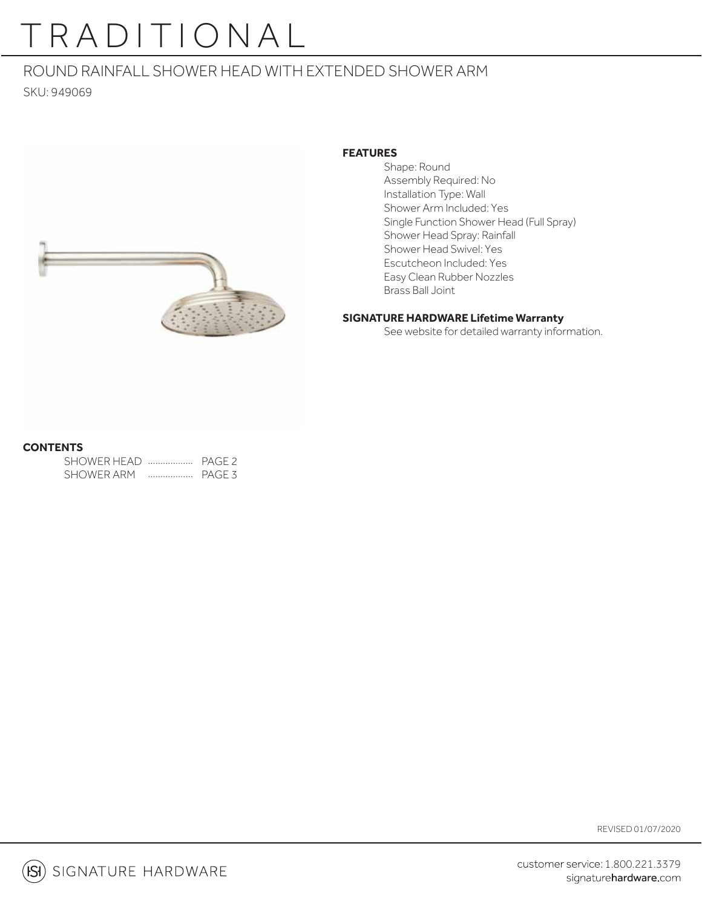# TRADITIONAL

## ROUND RAINFALL SHOWER HEAD WITH EXTENDED SHOWER ARM

SKU: 949069



### **FEATURES**

 Shape: Round Assembly Required: No Installation Type: Wall Shower Arm Included: Yes Single Function Shower Head (Full Spray) Shower Head Spray: Rainfall Shower Head Swivel: Yes Escutcheon Included: Yes Easy Clean Rubber Nozzles Brass Ball Joint

### **SIGNATURE HARDWARE Lifetime Warranty**

See website for detailed warranty information.

### **CONTENTS**

SHOWER HEAD .................. PAGE 2 SHOWER ARM PAGE 3 ..................

REVISED 01/07/2020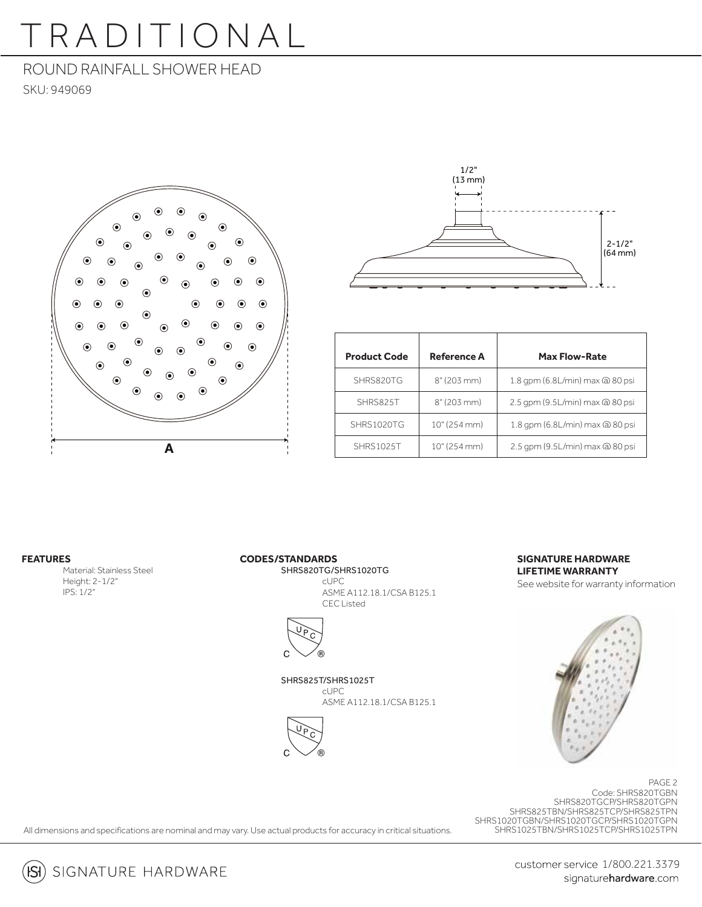# TRADITIONAL

## ROUND RAINFALL SHOWER HEAD

SKU: 949069





| <b>Product Code</b> | <b>Reference A</b> | <b>Max Flow-Rate</b>            |
|---------------------|--------------------|---------------------------------|
| SHRS820TG           | 8''(203 mm)        | 1.8 gpm (6.8L/min) max @ 80 psi |
| SHRS825T            | 8''(203 mm)        | 2.5 gpm (9.5L/min) max @ 80 psi |
| SHRS1020TG          | 10" (254 mm)       | 1.8 gpm (6.8L/min) max @ 80 psi |
| <b>SHRS1025T</b>    | 10" (254 mm)       | 2.5 gpm (9.5L/min) max @ 80 psi |

#### **FEATURES**

Material: Stainless Steel Height: 2-1/2" IPS: 1/2"

#### **CODES/STANDARDS**

 SHRS820TG/SHRS1020TG cUPC ASME A112.18.1/CSA B125.1 CEC Listed



SHRS825T/SHRS1025T

 cUPC ASME A112.18.1/CSA B125.1



#### **SIGNATURE HARDWARE LIFETIME WARRANTY**

See website for warranty information



Code: SHRS820TGBN SHRS820TGCP/SHRS820TGPN SHRS825TBN/SHRS825TCP/SHRS825TPN SHRS1020TGBN/SHRS1020TGCP/SHRS1020TGPN SHRS1025TBN/SHRS1025TCP/SHRS1025TPN PAGE 2

All dimensions and specifications are nominal and may vary. Use actual products for accuracy in critical situations.

customer service 1/800.221.3379 signaturehardware.com

 $(S)$  signature hardware